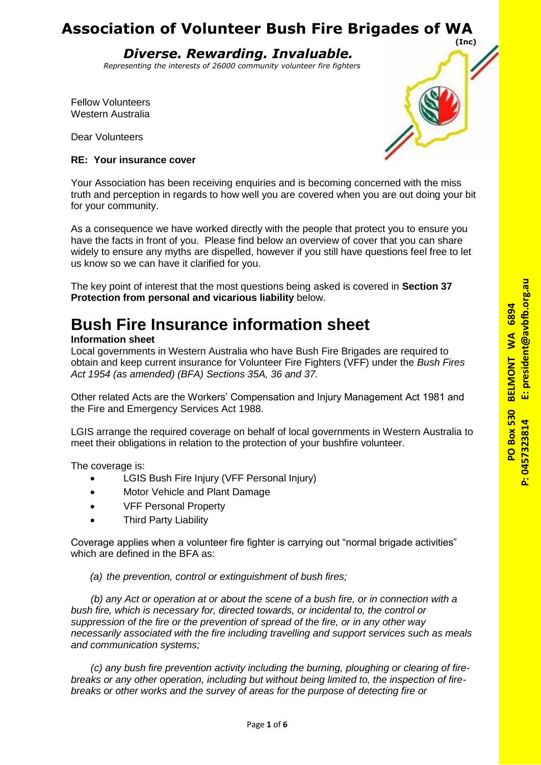*Diverse. Rewarding. Invaluable.*

 *Representing the interests of 26000 community volunteer fire fighters*

Fellow Volunteers Western Australia

Dear Volunteers

## **RE: Your insurance cover**



Your Association has been receiving enquiries and is becoming concerned with the miss truth and perception in regards to how well you are covered when you are out doing your bit for your community.

As a consequence we have worked directly with the people that protect you to ensure you have the facts in front of you. Please find below an overview of cover that you can share widely to ensure any myths are dispelled, however if you still have questions feel free to let us know so we can have it clarified for you.

The key point of interest that the most questions being asked is covered in **Section 37 Protection from personal and vicarious liability** below.

# **Bush Fire Insurance information sheet**

## **Information sheet**

Local governments in Western Australia who have Bush Fire Brigades are required to obtain and keep current insurance for Volunteer Fire Fighters (VFF) under the *Bush Fires Act 1954 (as amended) (BFA) Sections 35A, 36 and 37.*

Other related Acts are the Workers' Compensation and Injury Management Act 1981 and the Fire and Emergency Services Act 1988.

LGIS arrange the required coverage on behalf of local governments in Western Australia to meet their obligations in relation to the protection of your bushfire volunteer.

The coverage is:

- LGIS Bush Fire Injury (VFF Personal Injury)
- Motor Vehicle and Plant Damage
- VFF Personal Property
- Third Party Liability

Coverage applies when a volunteer fire fighter is carrying out "normal brigade activities" which are defined in the BFA as:

*(a) the prevention, control or extinguishment of bush fires;*

*(b) any Act or operation at or about the scene of a bush fire, or in connection with a bush fire, which is necessary for, directed towards, or incidental to, the control or suppression of the fire or the prevention of spread of the fire, or in any other way necessarily associated with the fire including travelling and support services such as meals and communication systems;*

*(c) any bush fire prevention activity including the burning, ploughing or clearing of firebreaks or any other operation, including but without being limited to, the inspection of firebreaks or other works and the survey of areas for the purpose of detecting fire or* 

president@avbfb.org.au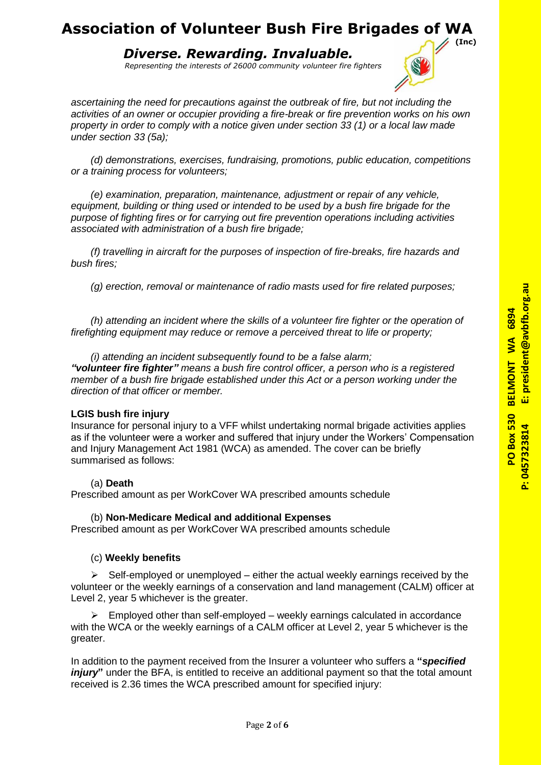*Diverse. Rewarding. Invaluable.*

 *Representing the interests of 26000 community volunteer fire fighters*



*ascertaining the need for precautions against the outbreak of fire, but not including the activities of an owner or occupier providing a fire-break or fire prevention works on his own property in order to comply with a notice given under section 33 (1) or a local law made under section 33 (5a);*

*(d) demonstrations, exercises, fundraising, promotions, public education, competitions or a training process for volunteers;*

*(e) examination, preparation, maintenance, adjustment or repair of any vehicle, equipment, building or thing used or intended to be used by a bush fire brigade for the purpose of fighting fires or for carrying out fire prevention operations including activities associated with administration of a bush fire brigade;*

*(f) travelling in aircraft for the purposes of inspection of fire-breaks, fire hazards and bush fires;*

*(g) erection, removal or maintenance of radio masts used for fire related purposes;*

*(h) attending an incident where the skills of a volunteer fire fighter or the operation of firefighting equipment may reduce or remove a perceived threat to life or property;* 

*(i) attending an incident subsequently found to be a false alarm; "volunteer fire fighter" means a bush fire control officer, a person who is a registered member of a bush fire brigade established under this Act or a person working under the direction of that officer or member.* 

## **LGIS bush fire injury**

Insurance for personal injury to a VFF whilst undertaking normal brigade activities applies as if the volunteer were a worker and suffered that injury under the Workers' Compensation and Injury Management Act 1981 (WCA) as amended. The cover can be briefly summarised as follows:

## (a) **Death**

Prescribed amount as per WorkCover WA prescribed amounts schedule

## (b) **Non-Medicare Medical and additional Expenses**

Prescribed amount as per WorkCover WA prescribed amounts schedule

## (c) **Weekly benefits**

 $\triangleright$  Self-employed or unemployed – either the actual weekly earnings received by the volunteer or the weekly earnings of a conservation and land management (CALM) officer at Level 2, year 5 whichever is the greater.

 $\triangleright$  Employed other than self-employed – weekly earnings calculated in accordance with the WCA or the weekly earnings of a CALM officer at Level 2, year 5 whichever is the greater.

In addition to the payment received from the Insurer a volunteer who suffers a **"***specified injury*" under the BFA, is entitled to receive an additional payment so that the total amount received is 2.36 times the WCA prescribed amount for specified injury: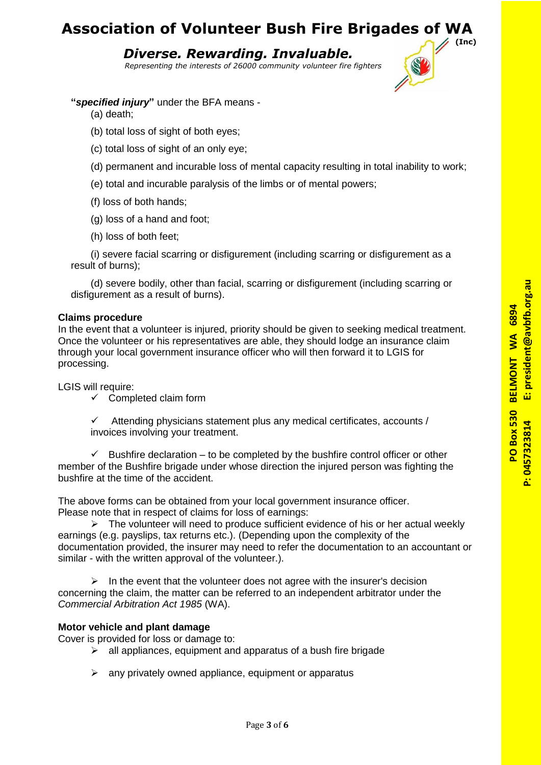*Diverse. Rewarding. Invaluable.*

 *Representing the interests of 26000 community volunteer fire fighters*

## **"***specified injury***"** under the BFA means -

(a) death;

- (b) total loss of sight of both eyes;
- (c) total loss of sight of an only eye;
- (d) permanent and incurable loss of mental capacity resulting in total inability to work;
- (e) total and incurable paralysis of the limbs or of mental powers;
- (f) loss of both hands;
- (g) loss of a hand and foot;
- (h) loss of both feet;

(i) severe facial scarring or disfigurement (including scarring or disfigurement as a result of burns);

(d) severe bodily, other than facial, scarring or disfigurement (including scarring or disfigurement as a result of burns).

## **Claims procedure**

In the event that a volunteer is injured, priority should be given to seeking medical treatment. Once the volunteer or his representatives are able, they should lodge an insurance claim through your local government insurance officer who will then forward it to LGIS for processing.

LGIS will require:

 $\checkmark$  Completed claim form

 $\checkmark$  Attending physicians statement plus any medical certificates, accounts / invoices involving your treatment.

 $\checkmark$  Bushfire declaration – to be completed by the bushfire control officer or other member of the Bushfire brigade under whose direction the injured person was fighting the bushfire at the time of the accident.

The above forms can be obtained from your local government insurance officer. Please note that in respect of claims for loss of earnings:

 $\triangleright$  The volunteer will need to produce sufficient evidence of his or her actual weekly earnings (e.g. payslips, tax returns etc.). (Depending upon the complexity of the documentation provided, the insurer may need to refer the documentation to an accountant or similar - with the written approval of the volunteer.).

 $\triangleright$  In the event that the volunteer does not agree with the insurer's decision concerning the claim, the matter can be referred to an independent arbitrator under the *Commercial Arbitration Act 1985* (WA).

## **Motor vehicle and plant damage**

Cover is provided for loss or damage to:

- $\triangleright$  all appliances, equipment and apparatus of a bush fire brigade
- $\triangleright$  any privately owned appliance, equipment or apparatus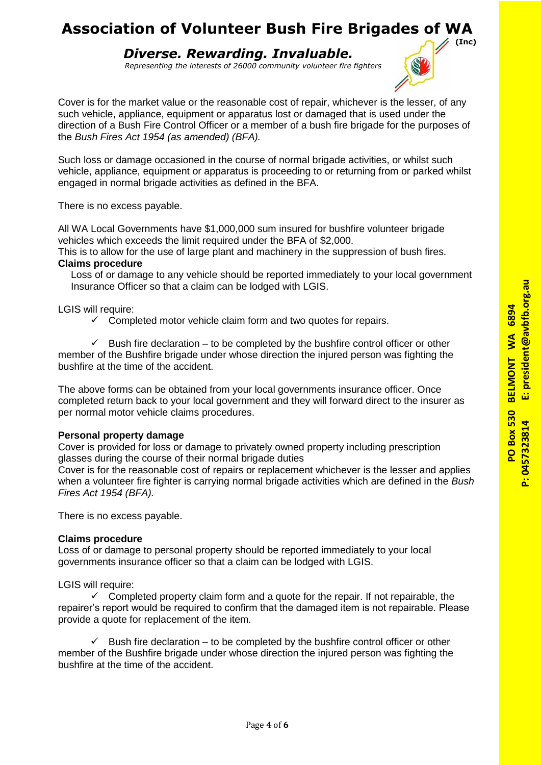*Diverse. Rewarding. Invaluable.*

 *Representing the interests of 26000 community volunteer fire fighters*



Such loss or damage occasioned in the course of normal brigade activities, or whilst such vehicle, appliance, equipment or apparatus is proceeding to or returning from or parked whilst engaged in normal brigade activities as defined in the BFA.

There is no excess payable.

All WA Local Governments have \$1,000,000 sum insured for bushfire volunteer brigade vehicles which exceeds the limit required under the BFA of \$2,000.

This is to allow for the use of large plant and machinery in the suppression of bush fires. **Claims procedure** 

Loss of or damage to any vehicle should be reported immediately to your local government Insurance Officer so that a claim can be lodged with LGIS.

LGIS will require:

 $\checkmark$  Completed motor vehicle claim form and two quotes for repairs.

 $\checkmark$  Bush fire declaration – to be completed by the bushfire control officer or other member of the Bushfire brigade under whose direction the injured person was fighting the bushfire at the time of the accident.

The above forms can be obtained from your local governments insurance officer. Once completed return back to your local government and they will forward direct to the insurer as per normal motor vehicle claims procedures.

## **Personal property damage**

Cover is provided for loss or damage to privately owned property including prescription glasses during the course of their normal brigade duties

Cover is for the reasonable cost of repairs or replacement whichever is the lesser and applies when a volunteer fire fighter is carrying normal brigade activities which are defined in the *Bush Fires Act 1954 (BFA).* 

There is no excess payable.

## **Claims procedure**

Loss of or damage to personal property should be reported immediately to your local governments insurance officer so that a claim can be lodged with LGIS.

LGIS will require:

 $\checkmark$  Completed property claim form and a quote for the repair. If not repairable, the repairer's report would be required to confirm that the damaged item is not repairable. Please provide a quote for replacement of the item.

 $\checkmark$  Bush fire declaration – to be completed by the bushfire control officer or other member of the Bushfire brigade under whose direction the injured person was fighting the bushfire at the time of the accident.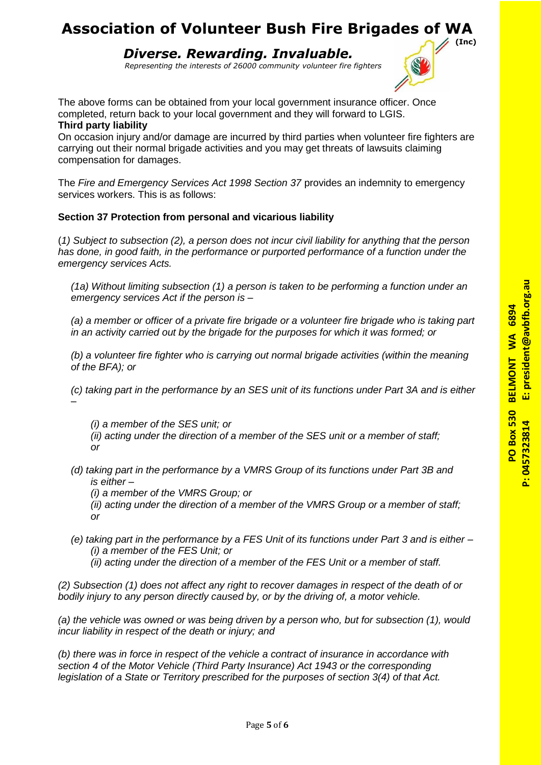*Diverse. Rewarding. Invaluable.*

 *Representing the interests of 26000 community volunteer fire fighters*

The above forms can be obtained from your local government insurance officer. Once completed, return back to your local government and they will forward to LGIS. **Third party liability** 

On occasion injury and/or damage are incurred by third parties when volunteer fire fighters are carrying out their normal brigade activities and you may get threats of lawsuits claiming compensation for damages.

The *Fire and Emergency Services Act 1998 Section 37* provides an indemnity to emergency services workers. This is as follows:

## **Section 37 Protection from personal and vicarious liability**

(*1) Subject to subsection (2), a person does not incur civil liability for anything that the person has done, in good faith, in the performance or purported performance of a function under the emergency services Acts.* 

*(1a) Without limiting subsection (1) a person is taken to be performing a function under an emergency services Act if the person is –*

*(a) a member or officer of a private fire brigade or a volunteer fire brigade who is taking part in an activity carried out by the brigade for the purposes for which it was formed; or* 

*(b) a volunteer fire fighter who is carrying out normal brigade activities (within the meaning of the BFA); or* 

*(c) taking part in the performance by an SES unit of its functions under Part 3A and is either –*

*(i) a member of the SES unit; or* 

- *(ii) acting under the direction of a member of the SES unit or a member of staff; or*
- *(d) taking part in the performance by a VMRS Group of its functions under Part 3B and is either –*
	- *(i) a member of the VMRS Group; or*
	- *(ii) acting under the direction of a member of the VMRS Group or a member of staff; or*
- *(e) taking part in the performance by a FES Unit of its functions under Part 3 and is either – (i) a member of the FES Unit; or*

*(ii) acting under the direction of a member of the FES Unit or a member of staff.* 

*(2) Subsection (1) does not affect any right to recover damages in respect of the death of or bodily injury to any person directly caused by, or by the driving of, a motor vehicle.* 

*(a) the vehicle was owned or was being driven by a person who, but for subsection (1), would incur liability in respect of the death or injury; and* 

Page **5** of **6**

*(b) there was in force in respect of the vehicle a contract of insurance in accordance with section 4 of the Motor Vehicle (Third Party Insurance) Act 1943 or the corresponding legislation of a State or Territory prescribed for the purposes of section 3(4) of that Act.*